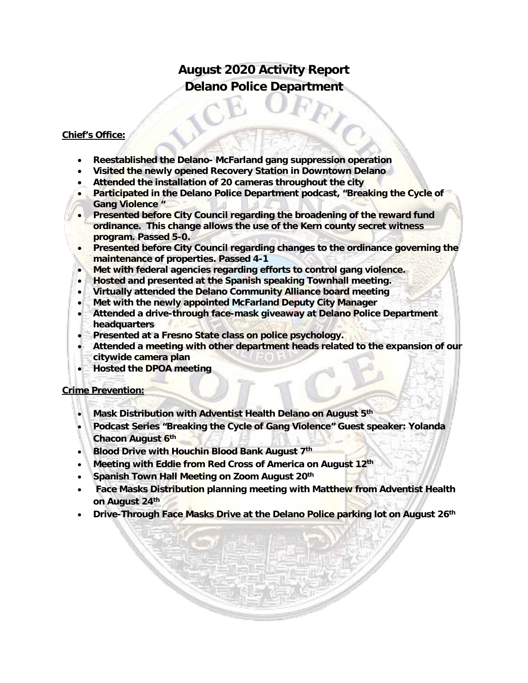# **August 2020 Activity Report Delano Police Department**

#### **Chief's Office:**

- **Reestablished the Delano- McFarland gang suppression operation**
- **Visited the newly opened Recovery Station in Downtown Delano**
- **Attended the installation of 20 cameras throughout the city**
- **Participated in the Delano Police Department podcast, "Breaking the Cycle of Gang Violence "**
- **Presented before City Council regarding the broadening of the reward fund ordinance. This change allows the use of the Kern county secret witness program. Passed 5-0.**
- **Presented before City Council regarding changes to the ordinance governing the maintenance of properties. Passed 4-1**
- **Met with federal agencies regarding efforts to control gang violence.**
- **Hosted and presented at the Spanish speaking Townhall meeting.**
- **Virtually attended the Delano Community Alliance board meeting**
- **Met with the newly appointed McFarland Deputy City Manager**
- **Attended a drive-through face-mask giveaway at Delano Police Department headquarters**
- **Presented at a Fresno State class on police psychology.**
- **Attended a meeting with other department heads related to the expansion of our citywide camera plan**
- **Hosted the DPOA meeting**

#### **Crime Prevention:**

- **Mask Distribution with Adventist Health Delano on August 5th**
- **Podcast Series "Breaking the Cycle of Gang Violence" Guest speaker: Yolanda Chacon August 6th**
- **Blood Drive with Houchin Blood Bank August 7th**
- **Meeting with Eddie from Red Cross of America on August 12th**
- **Spanish Town Hall Meeting on Zoom August 20th**
- **Face Masks Distribution planning meeting with Matthew from Adventist Health on August 24th**
- **Drive-Through Face Masks Drive at the Delano Police parking lot on August 26th**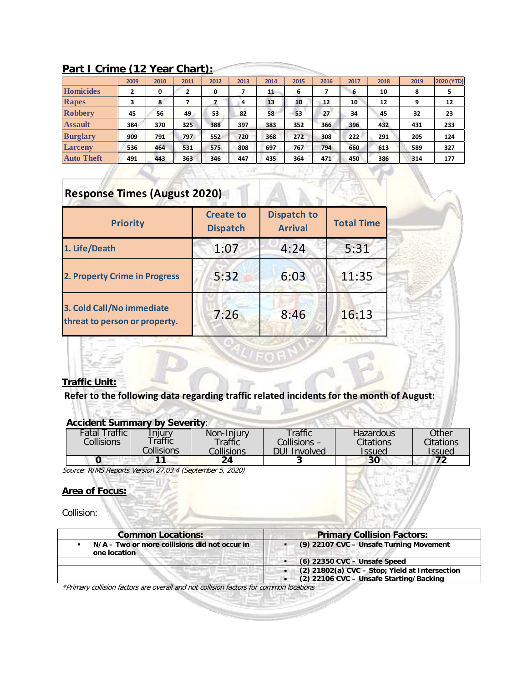|                   | 2009 | 2010 | 2011 | 2012 | 2013 | 2014 | 2015 | 2016 | 2017 | 2018 | 2019 | 2020 (YTD) |
|-------------------|------|------|------|------|------|------|------|------|------|------|------|------------|
| Homicides         | 2    | 0    | 2    | 0    |      | 11   | 6    |      | 6    | 10   | 8    | 5          |
| Rapes             |      | 8    |      |      | 4    | 13   | 10   | 12   | 10   | 12   | 9    | 12         |
| <b>Robbery</b>    | 45   | 56   | 49   | 53   | 82   | 58   | 53   | 27   | 34   | 45   | 32   | 23         |
| <b>Assault</b>    | 384  | 370  | 325  | 388  | 397  | 383  | 352  | 366  | 396  | 432  | 431  | 233        |
| <b>Burglary</b>   | 909  | 791  | 797  | 552  | 720  | 368  | 272  | 308  | 222  | 291  | 205  | 124        |
| Larceny           | 536  | 464  | 531  | 575  | 808  | 697  | 767  | 794  | 660  | 613  | 589  | 327        |
| <b>Auto Theft</b> | 491  | 443  | 363  | 346  | 447  | 435  | 364  | 471  | 450  | 386  | 314  | 177        |

 $\sum_{i=1}^{n}$ 

### **Part I Crime (12 Year Chart):**

# **Response Times (August 2020)**

| <b>Priority</b>                                            | <b>Create to</b><br><b>Dispatch</b> | <b>Dispatch to</b><br><b>Arrival</b> | <b>Total Time</b> |  |
|------------------------------------------------------------|-------------------------------------|--------------------------------------|-------------------|--|
| 1. Life/Death                                              | 1:07                                | 4:24                                 | 5:31              |  |
| 2. Property Crime in Progress                              | 5:32                                | 6:03                                 | 11:35             |  |
| 3. Cold Call/No immediate<br>threat to person or property. | 7:26                                | 8:46                                 | 16:13             |  |



## **Refer to the following data regarding traffic related incidents for the month of August:**

#### **Accident Summary by Severity**:

| <b>Fatal Traffic</b> | Iniurv     | Non-Injury | Traffic.            | Hazardous | Other                |
|----------------------|------------|------------|---------------------|-----------|----------------------|
| Collisions           | `raffic    | Traffic    | Collisions –        | Citations | Citations            |
|                      | Collisions | Collisions | <b>DUI Involved</b> | Issued    | <i><b>Issued</b></i> |
|                      |            | 24         |                     | 30        |                      |

Source: RIMS Reports Version 27.03.4 (September 5, 2020)

#### **Area of Focus:**

Collision:

| <b>Common Locations:</b>                                      | <b>Primary Collision Factors:</b>                                                         |  |  |  |  |
|---------------------------------------------------------------|-------------------------------------------------------------------------------------------|--|--|--|--|
| N/A – Two or more collisions did not occur in<br>one location | (9) 22107 CVC - Unsafe Turning Movement                                                   |  |  |  |  |
|                                                               | (6) 22350 CVC - Unsafe Speed                                                              |  |  |  |  |
|                                                               | (2) 21802(a) CVC - Stop; Yield at Intersection<br>(2) 22106 CVC - Unsafe Starting/Backing |  |  |  |  |

\*Primary collision factors are overall and not collision factors for common locations